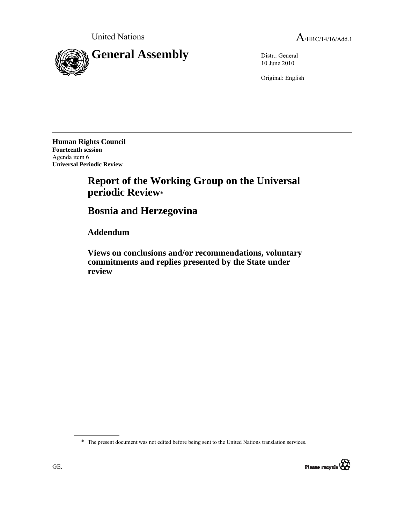

10 June 2010

Original: English

**Human Rights Council Fourteenth session**  Agenda item 6 **Universal Periodic Review** 

# **Report of the Working Group on the Universal periodic Review\***

# **Bosnia and Herzegovina**

 **Addendum** 

 **Views on conclusions and/or recommendations, voluntary commitments and replies presented by the State under review** 

\* The present document was not edited before being sent to the United Nations translation services.

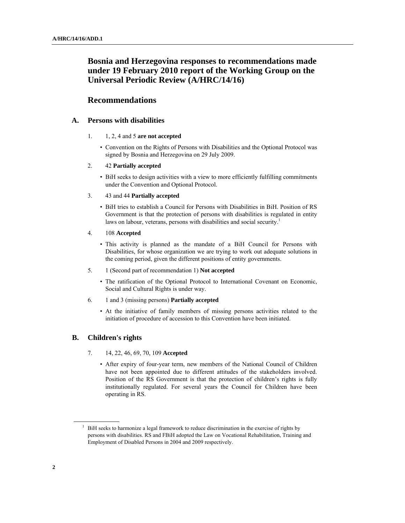# **Bosnia and Herzegovina responses to recommendations made under 19 February 2010 report of the Working Group on the Universal Periodic Review (A/HRC/14/16)**

# **Recommendations**

# **A. Persons with disabilities**

- 1. 1, 2, 4 and 5 **are not accepted**
	- Convention on the Rights of Persons with Disabilities and the Optional Protocol was signed by Bosnia and Herzegovina on 29 July 2009.

#### 2. 42 **Partially accepted**

• BiH seeks to design activities with a view to more efficiently fulfilling commitments under the Convention and Optional Protocol.

# 3. 43 and 44 **Partially accepted**

- BiH tries to establish a Council for Persons with Disabilities in BiH. Position of RS Government is that the protection of persons with disabilities is regulated in entity laws on labour, veterans, persons with disabilities and social security.<sup>1</sup>
- 4. 108 **Accepted**
	- This activity is planned as the mandate of a BiH Council for Persons with Disabilities, for whose organization we are trying to work out adequate solutions in the coming period, given the different positions of entity governments.

#### 5. 1 (Second part of recommendation 1) **Not accepted**

- The ratification of the Optional Protocol to International Covenant on Economic, Social and Cultural Rights is under way.
- 6. 1 and 3 (missing persons) **Partially accepted**
	- At the initiative of family members of missing persons activities related to the initiation of procedure of accession to this Convention have been initiated.

# **B. Children's rights**

- 7. 14, 22, 46, 69, 70, 109 **Accepted** 
	- After expiry of four-year term, new members of the National Council of Children have not been appointed due to different attitudes of the stakeholders involved. Position of the RS Government is that the protection of children's rights is fully institutionally regulated. For several years the Council for Children have been operating in RS.

<sup>&</sup>lt;sup>1</sup> BiH seeks to harmonize a legal framework to reduce discrimination in the exercise of rights by persons with disabilities. RS and FBiH adopted the Law on Vocational Rehabilitation, Training and Employment of Disabled Persons in 2004 and 2009 respectively.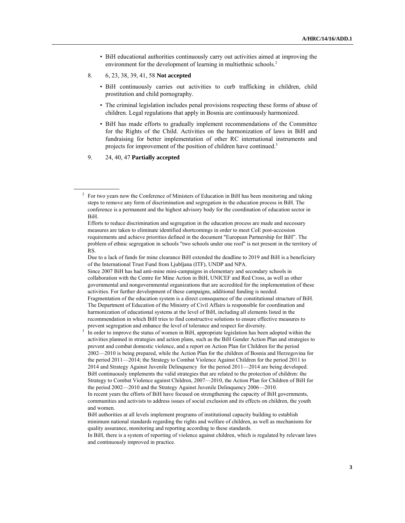- BiH educational authorities continuously carry out activities aimed at improving the environment for the development of learning in multiethnic schools.<sup>2</sup>
- 8. 6, 23, 38, 39, 41, 58 **Not accepted** 
	- BiH continuously carries out activities to curb trafficking in children, child prostitution and child pornography.
	- The criminal legislation includes penal provisions respecting these forms of abuse of children. Legal regulations that apply in Bosnia are continuously harmonized.
	- BiH has made efforts to gradually implement recommendations of the Committee for the Rights of the Child. Activities on the harmonization of laws in BiH and fundraising for better implementation of other RC international instruments and projects for improvement of the position of children have continued.<sup>3</sup>
- 9. 24, 40, 47 **Partially accepted**

 Since 2007 BiH has had anti-mine mini-campaigns in elementary and secondary schools in collaboration with the Centre for Mine Action in BiH, UNICEF and Red Cross, as well as other governmental and nongovernmental organizations that are accredited for the implementation of these activities. For further development of these campaigns, additional funding is needed. Fragmentation of the education system is a direct consequence of the constitutional structure of BiH. The Department of Education of the Ministry of Civil Affairs is responsible for coordination and harmonization of educational systems at the level of BiH, including all elements listed in the recommendation in which BiH tries to find constructive solutions to ensure effective measures to

prevent segregation and enhance the level of tolerance and respect for diversity. In order to improve the status of women in BiH, appropriate legislation has been adopted within the activities planned in strategies and action plans, such as the BiH Gender Action Plan and strategies to prevent and combat domestic violence, and a report on Action Plan for Children for the period 2002—2010 is being prepared, while the Action Plan for the children of Bosnia and Herzegovina for the period 2011—2014; the Strategy to Combat Violence Against Children for the period 2011 to 2014 and Strategy Against Juvenile Delinquency for the period 2011—2014 are being developed. BiH continuously implements the valid strategies that are related to the protection of children: the Strategy to Combat Violence against Children, 2007—2010, the Action Plan for Children of BiH for the period 2002—2010 and the Strategy Against Juvenile Delinquency 2006—2010. In recent years the efforts of BiH have focused on strengthening the capacity of BiH governments, communities and activists to address issues of social exclusion and its effects on children, the youth and women.

 $2^2$  For two years now the Conference of Ministers of Education in BiH has been monitoring and taking steps to remove any form of discrimination and segregation in the education process in BiH. The conference is a permanent and the highest advisory body for the coordination of education sector in BiH.

Efforts to reduce discrimination and segregation in the education process are made and necessary measures are taken to eliminate identified shortcomings in order to meet CoE post-accession requirements and achieve priorities defined in the document "European Partnership for BiH". The problem of ethnic segregation in schools "two schools under one roof" is not present in the territory of RS.

Due to a lack of funds for mine clearance BiH extended the deadline to 2019 and BiH is a beneficiary of the International Trust Fund from Ljubljana (ITF), UNDP and NPA.

BiH authorities at all levels implement programs of institutional capacity building to establish minimum national standards regarding the rights and welfare of children, as well as mechanisms for quality assurance, monitoring and reporting according to these standards.

In BiH, there is a system of reporting of violence against children, which is regulated by relevant laws and continuously improved in practice.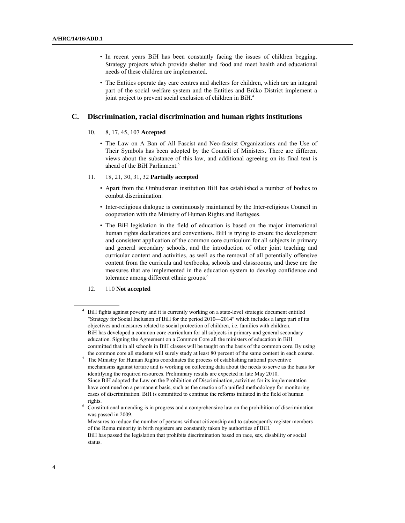- In recent years BiH has been constantly facing the issues of children begging. Strategy projects which provide shelter and food and meet health and educational needs of these children are implemented.
- The Entities operate day care centres and shelters for children, which are an integral part of the social welfare system and the Entities and Brčko District implement a joint project to prevent social exclusion of children in BiH.<sup>4</sup>

#### **C. Discrimination, racial discrimination and human rights institutions**

#### 10. 8, 17, 45, 107 **Accepted**

- The Law on A Ban of All Fascist and Neo-fascist Organizations and the Use of Their Symbols has been adopted by the Council of Ministers. There are different views about the substance of this law, and additional agreeing on its final text is ahead of the BiH Parliament.<sup>5</sup>
- 11. 18, 21, 30, 31, 32 **Partially accepted**
	- Apart from the Ombudsman institution BiH has established a number of bodies to combat discrimination.
	- Inter-religious dialogue is continuously maintained by the Inter-religious Council in cooperation with the Ministry of Human Rights and Refugees.
	- The BiH legislation in the field of education is based on the major international human rights declarations and conventions. BiH is trying to ensure the development and consistent application of the common core curriculum for all subjects in primary and general secondary schools, and the introduction of other joint teaching and curricular content and activities, as well as the removal of all potentially offensive content from the curricula and textbooks, schools and classrooms, and these are the measures that are implemented in the education system to develop confidence and tolerance among different ethnic groups.<sup>6</sup>

#### 12. 110 **Not accepted**

<sup>4</sup> BiH fights against poverty and it is currently working on a state-level strategic document entitled "Strategy for Social Inclusion of BiH for the period 2010—2014" which includes a large part of its objectives and measures related to social protection of children, i.e. families with children. BiH has developed a common core curriculum for all subjects in primary and general secondary education. Signing the Agreement on a Common Core all the ministers of education in BiH committed that in all schools in BiH classes will be taught on the basis of the common core. By using the common core all students will surely study at least 80 percent of the same content in each course.

The Ministry for Human Rights coordinates the process of establishing national preventive mechanisms against torture and is working on collecting data about the needs to serve as the basis for identifying the required resources. Preliminary results are expected in late May 2010. Since BiH adopted the Law on the Prohibition of Discrimination, activities for its implementation have continued on a permanent basis, such as the creation of a unified methodology for monitoring cases of discrimination. BiH is committed to continue the reforms initiated in the field of human rights. 6

Constitutional amending is in progress and a comprehensive law on the prohibition of discrimination was passed in 2009.

Measures to reduce the number of persons without citizenship and to subsequently register members of the Roma minority in birth registers are constantly taken by authorities of BiH. BiH has passed the legislation that prohibits discrimination based on race, sex, disability or social status.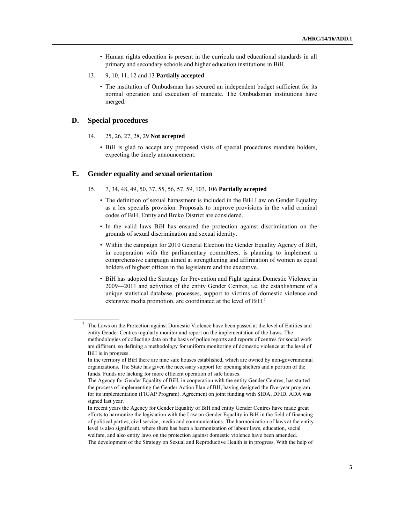- Human rights education is present in the curricula and educational standards in all primary and secondary schools and higher education institutions in BiH.
- 13. 9, 10, 11, 12 and 13 **Partially accepted**
	- The institution of Ombudsman has secured an independent budget sufficient for its normal operation and execution of mandate. The Ombudsman institutions have merged.

# **D. Special procedures**

- 14. 25, 26, 27, 28, 29 **Not accepted**
	- BiH is glad to accept any proposed visits of special procedures mandate holders, expecting the timely announcement.

#### **E. Gender equality and sexual orientation**

- 15. 7, 34, 48, 49, 50, 37, 55, 56, 57, 59, 103, 106 **Partially accepted**
	- The definition of sexual harassment is included in the BiH Law on Gender Equality as a lex specialis provision. Proposals to improve provisions in the valid criminal codes of BiH, Entity and Brcko District are considered.
	- In the valid laws BiH has ensured the protection against discrimination on the grounds of sexual discrimination and sexual identity.
	- Within the campaign for 2010 General Election the Gender Equality Agency of BiH, in cooperation with the parliamentary committees, is planning to implement a comprehensive campaign aimed at strengthening and affirmation of women as equal holders of highest offices in the legislature and the executive.
	- BiH has adopted the Strategy for Prevention and Fight against Domestic Violence in 2009—2011 and activities of the entity Gender Centres, i.e. the establishment of a unique statistical database, processes, support to victims of domestic violence and extensive media promotion, are coordinated at the level of BiH.<sup>7</sup>

<sup>&</sup>lt;sup>7</sup> The Laws on the Protection against Domestic Violence have been passed at the level of Entities and entity Gender Centres regularly monitor and report on the implementation of the Laws. The methodologies of collecting data on the basis of police reports and reports of centres for social work are different, so defining a methodology for uniform monitoring of domestic violence at the level of BiH is in progress.

In the territory of BiH there are nine safe houses established, which are owned by non-governmental organizations. The State has given the necessary support for opening shelters and a portion of the funds. Funds are lacking for more efficient operation of safe houses.

The Agency for Gender Equality of BiH, in cooperation with the entity Gender Centres, has started the process of implementing the Gender Action Plan of BH, having designed the five-year program for its implementation (FIGAP Program). Agreement on joint funding with SIDA, DFID, ADA was signed last year.

In recent years the Agency for Gender Equality of BiH and entity Gender Centres have made great efforts to harmonize the legislation with the Law on Gender Equality in BiH in the field of financing of political parties, civil service, media and communications. The harmonization of laws at the entity level is also significant, where there has been a harmonization of labour laws, education, social welfare, and also entity laws on the protection against domestic violence have been amended. The development of the Strategy on Sexual and Reproductive Health is in progress. With the help of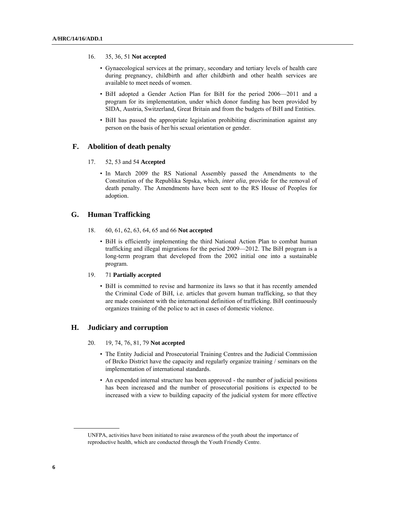#### 16. 35, 36, 51 **Not accepted**

- Gynaecological services at the primary, secondary and tertiary levels of health care during pregnancy, childbirth and after childbirth and other health services are available to meet needs of women.
- BiH adopted a Gender Action Plan for BiH for the period 2006—2011 and a program for its implementation, under which donor funding has been provided by SIDA, Austria, Switzerland, Great Britain and from the budgets of BiH and Entities.
- BiH has passed the appropriate legislation prohibiting discrimination against any person on the basis of her/his sexual orientation or gender.

# **F. Abolition of death penalty**

- 17. 52, 53 and 54 **Accepted** 
	- In March 2009 the RS National Assembly passed the Amendments to the Constitution of the Republika Srpska, which, *inter alia*, provide for the removal of death penalty. The Amendments have been sent to the RS House of Peoples for adoption.

# **G. Human Trafficking**

- 18. 60, 61, 62, 63, 64, 65 and 66 **Not accepted**
	- BiH is efficiently implementing the third National Action Plan to combat human trafficking and illegal migrations for the period 2009—2012. The BiH program is a long-term program that developed from the 2002 initial one into a sustainable program.

#### 19. 71 **Partially accepted**

• BiH is committed to revise and harmonize its laws so that it has recently amended the Criminal Code of BiH, i.e. articles that govern human trafficking, so that they are made consistent with the international definition of trafficking. BiH continuously organizes training of the police to act in cases of domestic violence.

#### **H. Judiciary and corruption**

- 20. 19, 74, 76, 81, 79 **Not accepted** 
	- The Entity Judicial and Prosecutorial Training Centres and the Judicial Commission of Brcko District have the capacity and regularly organize training / seminars on the implementation of international standards.
	- An expended internal structure has been approved the number of judicial positions has been increased and the number of prosecutorial positions is expected to be increased with a view to building capacity of the judicial system for more effective

UNFPA, activities have been initiated to raise awareness of the youth about the importance of reproductive health, which are conducted through the Youth Friendly Centre.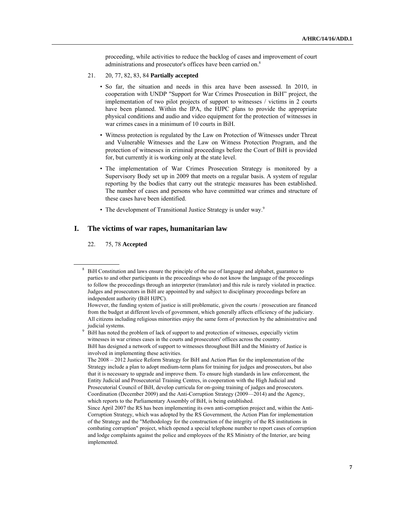proceeding, while activities to reduce the backlog of cases and improvement of court administrations and prosecutor's offices have been carried on.8

- 21. 20, 77, 82, 83, 84 **Partially accepted** 
	- So far, the situation and needs in this area have been assessed. In 2010, in cooperation with UNDP "Support for War Crimes Prosecution in BiH" project, the implementation of two pilot projects of support to witnesses / victims in 2 courts have been planned. Within the IPA, the HJPC plans to provide the appropriate physical conditions and audio and video equipment for the protection of witnesses in war crimes cases in a minimum of 10 courts in BiH.
	- Witness protection is regulated by the Law on Protection of Witnesses under Threat and Vulnerable Witnesses and the Law on Witness Protection Program, and the protection of witnesses in criminal proceedings before the Court of BiH is provided for, but currently it is working only at the state level.
	- The implementation of War Crimes Prosecution Strategy is monitored by a Supervisory Body set up in 2009 that meets on a regular basis. A system of regular reporting by the bodies that carry out the strategic measures has been established. The number of cases and persons who have committed war crimes and structure of these cases have been identified.
	- The development of Transitional Justice Strategy is under way.<sup>9</sup>

### **I. The victims of war rapes, humanitarian law**

#### 22. 75, 78 **Accepted**

 $8\;\;$  BiH Constitution and laws ensure the principle of the use of language and alphabet, guarantee to parties to and other participants in the proceedings who do not know the language of the proceedings to follow the proceedings through an interpreter (translator) and this rule is rarely violated in practice. Judges and prosecutors in BiH are appointed by and subject to disciplinary proceedings before an independent authority (BiH HJPC).

However, the funding system of justice is still problematic, given the courts / prosecution are financed from the budget at different levels of government, which generally affects efficiency of the judiciary. All citizens including religious minorities enjoy the same form of protection by the administrative and judicial systems.

BiH has noted the problem of lack of support to and protection of witnesses, especially victim witnesses in war crimes cases in the courts and prosecutors' offices across the country. BiH has designed a network of support to witnesses throughout BiH and the Ministry of Justice is involved in implementing these activities.

The 2008 – 2012 Justice Reform Strategy for BiH and Action Plan for the implementation of the Strategy include a plan to adopt medium-term plans for training for judges and prosecutors, but also that it is necessary to upgrade and improve them. To ensure high standards in law enforcement, the Entity Judicial and Prosecutorial Training Centres, in cooperation with the High Judicial and Prosecutorial Council of BiH, develop curricula for on-going training of judges and prosecutors. Coordination (December 2009) and the Anti-Corruption Strategy (2009—2014) and the Agency, which reports to the Parliamentary Assembly of BiH, is being established.

Since April 2007 the RS has been implementing its own anti-corruption project and, within the Anti-Corruption Strategy, which was adopted by the RS Government, the Action Plan for implementation of the Strategy and the "Methodology for the construction of the integrity of the RS institutions in combating corruption" project, which opened a special telephone number to report cases of corruption and lodge complaints against the police and employees of the RS Ministry of the Interior, are being implemented.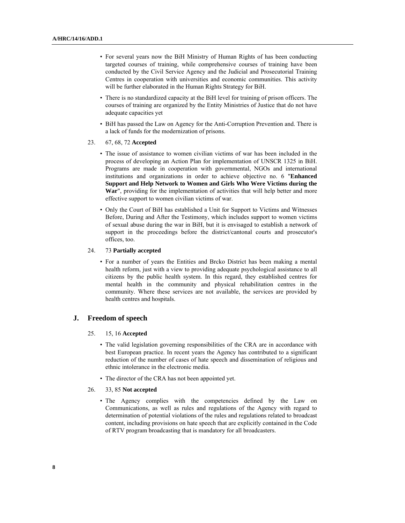- For several years now the BiH Ministry of Human Rights of has been conducting targeted courses of training, while comprehensive courses of training have been conducted by the Civil Service Agency and the Judicial and Prosecutorial Training Centres in cooperation with universities and economic communities. This activity will be further elaborated in the Human Rights Strategy for BiH.
- There is no standardized capacity at the BiH level for training of prison officers. The courses of training are organized by the Entity Ministries of Justice that do not have adequate capacities yet
- BiH has passed the Law on Agency for the Anti-Corruption Prevention and. There is a lack of funds for the modernization of prisons.
- 23. 67, 68, 72 **Accepted** 
	- The issue of assistance to women civilian victims of war has been included in the process of developing an Action Plan for implementation of UNSCR 1325 in BiH. Programs are made in cooperation with governmental, NGOs and international institutions and organizations in order to achieve objective no. 6 "**Enhanced Support and Help Network to Women and Girls Who Were Victims during the War**", providing for the implementation of activities that will help better and more effective support to women civilian victims of war.
	- Only the Court of BiH has established a Unit for Support to Victims and Witnesses Before, During and After the Testimony, which includes support to women victims of sexual abuse during the war in BiH, but it is envisaged to establish a network of support in the proceedings before the district/cantonal courts and prosecutor's offices, too.

#### 24. 73 **Partially accepted**

• For a number of years the Entities and Brcko District has been making a mental health reform, just with a view to providing adequate psychological assistance to all citizens by the public health system. In this regard, they established centres for mental health in the community and physical rehabilitation centres in the community. Where these services are not available, the services are provided by health centres and hospitals.

# **J. Freedom of speech**

#### 25. 15, 16 **Accepted**

• The valid legislation governing responsibilities of the CRA are in accordance with best European practice. In recent years the Agency has contributed to a significant reduction of the number of cases of hate speech and dissemination of religious and ethnic intolerance in the electronic media.

- The director of the CRA has not been appointed yet.
- 26. 33, 85 **Not accepted**
	- The Agency complies with the competencies defined by the Law on Communications, as well as rules and regulations of the Agency with regard to determination of potential violations of the rules and regulations related to broadcast content, including provisions on hate speech that are explicitly contained in the Code of RTV program broadcasting that is mandatory for all broadcasters.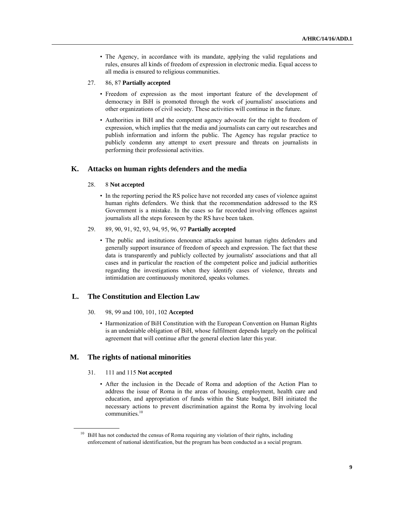- The Agency, in accordance with its mandate, applying the valid regulations and rules, ensures all kinds of freedom of expression in electronic media. Equal access to all media is ensured to religious communities.
- 27. 86, 87 **Partially accepted**
	- Freedom of expression as the most important feature of the development of democracy in BiH is promoted through the work of journalists' associations and other organizations of civil society. These activities will continue in the future.
	- Authorities in BiH and the competent agency advocate for the right to freedom of expression, which implies that the media and journalists can carry out researches and publish information and inform the public. The Agency has regular practice to publicly condemn any attempt to exert pressure and threats on journalists in performing their professional activities.

# **K. Attacks on human rights defenders and the media**

#### 28. 8 **Not accepted**

- In the reporting period the RS police have not recorded any cases of violence against human rights defenders. We think that the recommendation addressed to the RS Government is a mistake. In the cases so far recorded involving offences against journalists all the steps foreseen by the RS have been taken.
- 29. 89, 90, 91, 92, 93, 94, 95, 96, 97 **Partially accepted** 
	- The public and institutions denounce attacks against human rights defenders and generally support insurance of freedom of speech and expression. The fact that these data is transparently and publicly collected by journalists' associations and that all cases and in particular the reaction of the competent police and judicial authorities regarding the investigations when they identify cases of violence, threats and intimidation are continuously monitored, speaks volumes.

#### **L. The Constitution and Election Law**

- 30. 98, 99 and 100, 101, 102 **Accepted** 
	- Harmonization of BiH Constitution with the European Convention on Human Rights is an undeniable obligation of BiH, whose fulfilment depends largely on the political agreement that will continue after the general election later this year.

# **M. The rights of national minorities**

- 31. 111 and 115 **Not accepted** 
	- After the inclusion in the Decade of Roma and adoption of the Action Plan to address the issue of Roma in the areas of housing, employment, health care and education, and appropriation of funds within the State budget, BiH initiated the necessary actions to prevent discrimination against the Roma by involving local communities.<sup>10</sup>

<sup>&</sup>lt;sup>10</sup> BiH has not conducted the census of Roma requiring any violation of their rights, including enforcement of national identification, but the program has been conducted as a social program.